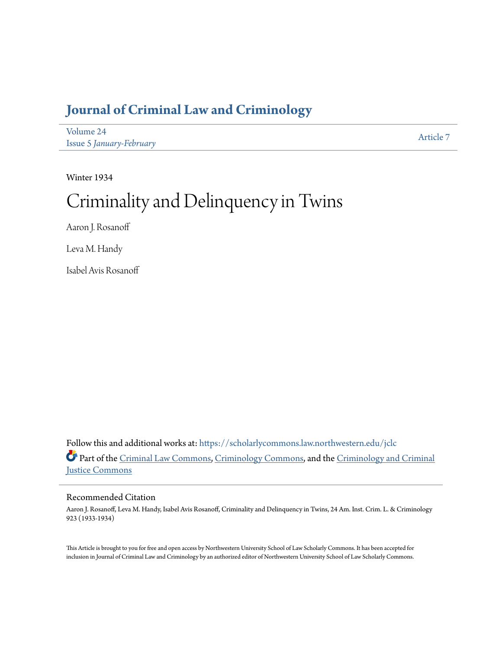## **[Journal of Criminal Law and Criminology](https://scholarlycommons.law.northwestern.edu/jclc?utm_source=scholarlycommons.law.northwestern.edu%2Fjclc%2Fvol24%2Fiss5%2F7&utm_medium=PDF&utm_campaign=PDFCoverPages)**

| Volume 24                       | Article 7 |
|---------------------------------|-----------|
| <b>Issue 5 January-February</b> |           |

Winter 1934

## Criminality and Delinquency in Twins

Aaron J. Rosanoff

Leva M. Handy

Isabel Avis Rosanoff

Follow this and additional works at: [https://scholarlycommons.law.northwestern.edu/jclc](https://scholarlycommons.law.northwestern.edu/jclc?utm_source=scholarlycommons.law.northwestern.edu%2Fjclc%2Fvol24%2Fiss5%2F7&utm_medium=PDF&utm_campaign=PDFCoverPages) Part of the [Criminal Law Commons](http://network.bepress.com/hgg/discipline/912?utm_source=scholarlycommons.law.northwestern.edu%2Fjclc%2Fvol24%2Fiss5%2F7&utm_medium=PDF&utm_campaign=PDFCoverPages), [Criminology Commons](http://network.bepress.com/hgg/discipline/417?utm_source=scholarlycommons.law.northwestern.edu%2Fjclc%2Fvol24%2Fiss5%2F7&utm_medium=PDF&utm_campaign=PDFCoverPages), and the [Criminology and Criminal](http://network.bepress.com/hgg/discipline/367?utm_source=scholarlycommons.law.northwestern.edu%2Fjclc%2Fvol24%2Fiss5%2F7&utm_medium=PDF&utm_campaign=PDFCoverPages) [Justice Commons](http://network.bepress.com/hgg/discipline/367?utm_source=scholarlycommons.law.northwestern.edu%2Fjclc%2Fvol24%2Fiss5%2F7&utm_medium=PDF&utm_campaign=PDFCoverPages)

## Recommended Citation

Aaron J. Rosanoff, Leva M. Handy, Isabel Avis Rosanoff, Criminality and Delinquency in Twins, 24 Am. Inst. Crim. L. & Criminology 923 (1933-1934)

This Article is brought to you for free and open access by Northwestern University School of Law Scholarly Commons. It has been accepted for inclusion in Journal of Criminal Law and Criminology by an authorized editor of Northwestern University School of Law Scholarly Commons.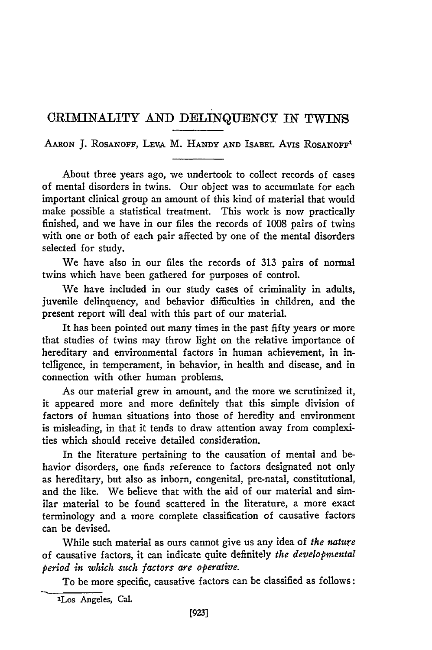## CRIMINALITY AND DELINQUENCY IN TWINS

**AARON** J. ROSANOFF, LEVA M. **HANDY AND** ISABEL Avis **ROSANOFF**

About three years ago, we undertook to collect records of cases of mental disorders in twins. Our object was to accumulate for each important clinical group an amount of this kind of material that would make possible a statistical treatment. This work is now practically finished, and we have in our files the records of 1008 pairs of twins with one or both of each pair affected by one of the mental disorders selected for study.

We have also in our files the records of 313 pairs of normal twins which have been gathered for purposes of control.

We have included in our study cases of criminality in adults, juvenile delinquency, and behavior difficulties in children, and the present report will deal with this part of our material.

It has been pointed out many times in the past fifty years or more that studies of twins may throw light on the relative importance of hereditary and environmental factors in human achievement, in intelligence, in temperament, in behavior, in health and disease, and in connection with other human problems.

As our material grew in amount, and the more we scrutinized it, it appeared more and more definitely that this simple division of factors of human situations into those of heredity and environment is misleading, in that it tends to draw attention away from complexities which should receive detailed consideration.

In the literature pertaining to the causation of mental and behavior disorders, one finds reference to factors designated not only as hereditary, but also as inborn, congenital, pre-natal, constitutional, and the like. We believe that with the aid of our material and similar material to be found scattered in the literature, a more exact terminology and a more complete classification of causative factors can be devised.

While such material as ours cannot give us any idea of *the nature* of causative factors, it can indicate quite definitely *the developmental period in which such factors are operative.*

To be more specific, causative factors can be classified as follows:

'Los Angeles, Cal.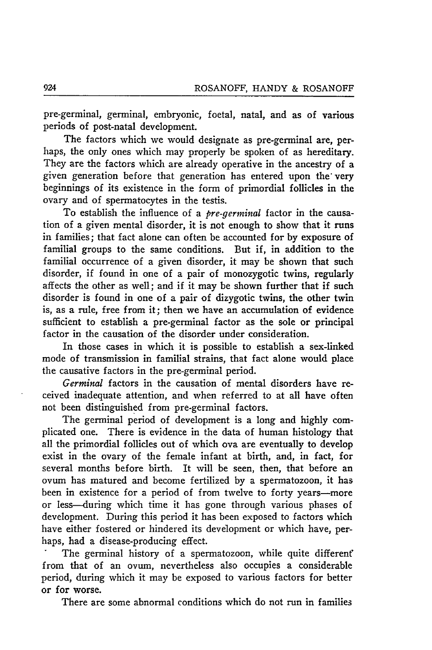pre-germinal, germinal, embryonic, foetal, natal, and as of various periods of post-natal development.

The factors which we would designate as pre-germinal are, perhaps, the only ones which may properly be spoken of as hereditary. They are the factors which are already operative in the ancestry of a given generation before that generation has entered upon the very beginnings of its existence in the form of primordial follicles in the ovary and of spermatocytes in the testis.

To establish the influence of a *pre-germinal* factor in the causation of a given mental disorder, it is not enough to show that it runs in families; that fact alone can often be accounted for by exposure of familial groups to the same conditions. But if, in addition to the familial occurrence of a given disorder, it may be shown that such disorder, if found in one of a pair of monozygotic twins, regularly affects the other as well; and if it may be shown further that if such disorder is found in one of a pair of dizygotic twins, the other twin is, as a rule, free from it; then we have an accumulation of evidence sufficient to establish a pre-germinal factor as the sole or principal factor in the causation of the disorder under consideration.

In those cases in which it is possible to establish a sex-linked mode of transmission in familial strains, that fact alone would place the causative factors in the pre-germinal period.

*Germinal* factors in the causation of mental disorders have received inadequate attention, and when referred to at all have often not been distinguished from pre-germinal factors.

The germinal period of development is a long and highly complicated one. There is evidence in the data of human histology that all the primordial follicles out of which ova are eventually to develop exist in the ovary of the female infant at birth, and, in fact, for several months before birth. It will be seen, then, that before an ovum has matured and become fertilized by a spermatozoon, it has been in existence for a period of from twelve to forty years—more or less--during which time it has gone through various phases of development. During this period it has been exposed to factors which have either fostered or hindered its development or which have, perhaps, had a disease-producing effect.

The germinal history of a spermatozoon, while quite different' from that of an ovum, nevertheless also occupies a considerable period, during which it may be exposed to various factors for better or for worse.

There are some abnormal conditions which do not run in families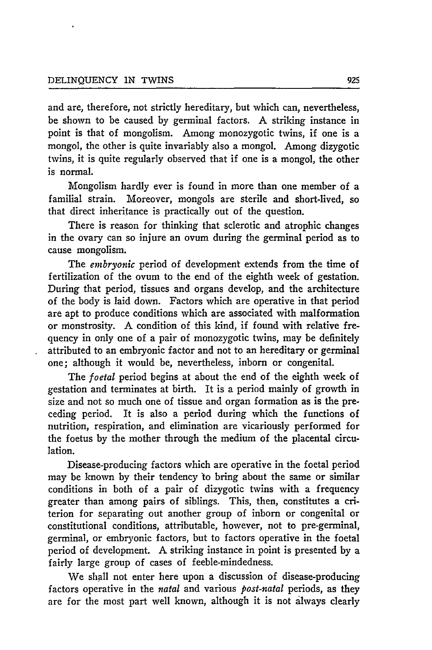and are, therefore, not strictly hereditary, but which can, nevertheless, be shown to be caused by germinal factors. A striking instance in point is that of mongolism. Among monozygotic twins, if one is a mongol, the other is quite invariably also a mongol. Among dizygotic twins, it is quite regularly observed that if one is a mongol, the other is normal.

Mongolism hardly ever is found in more than one member of a familial strain. Moreover, mongols are sterile and short-lived, so that direct inheritance is practically out of the question.

There is reason for thinking that sclerotic and atrophic changes in the ovary can so injure an ovum during the germinal period as to cause mongolism.

The *embryonic* period of development extends from the time of fertilization of the ovum to the end of the eighth week of gestation. During that period, tissues and organs develop, and the architecture of the body is laid down. Factors which are operative in that period are apt to produce conditions which are associated with malformation or monstrosity. A condition of this kind, if found with relative frequency in only one of a pair of monozygotic twins, may be definitely attributed to an embryonic factor and not to an hereditary or germinal one; although it would be, nevertheless, inborn or congenital.

The *foetal* period begins at about the end of the eighth week of gestation and terminates at birth. It is a period mainly of growth in size and not so much one of tissue and organ formation as is the preceding period. It is also a period during which the functions of nutrition, respiration, and elimination are vicariously performed for the foetus by the mother through the medium of the placental circulation.

Disease-producing factors which are operative in the foetal period may be known by their tendency to bring about the same or similar conditions in both of a pair of dizygotic twins with a frequency greater than among pairs of siblings. This, then, constitutes a criterion for separating out another group of inborn or congenital or constitutional conditions, attributable, however, not to pre-germinal, germinal, or embryonic factors, but to factors operative in the foetal period of development. A striking instance in point is presented by a fairly large group of cases of feeble-mindedness.

We shall not enter here upon a discussion of disease-producing factors operative in the *natal* and various *post-natal* periods, as they are for the most part well known, although it is not always clearly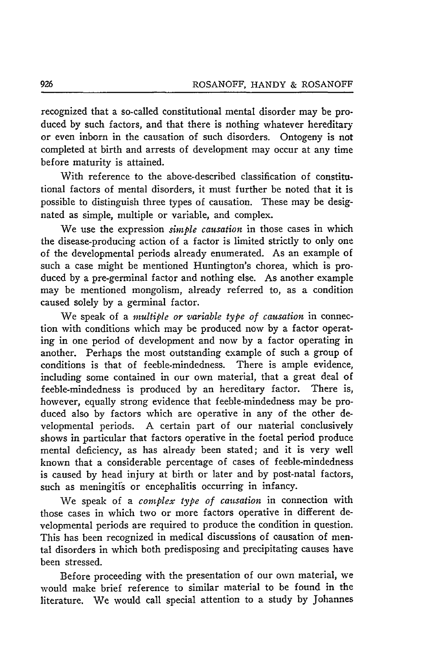recognized that a so-called constitutional mental disorder may be produced by such factors, and that there is nothing whatever hereditary or even inborn in the causation of such disorders. Ontogeny is not completed at birth and arrests of development may occur at any time before maturity is attained.

With reference to the above-described classification of constitutional factors of mental disorders, it must further be noted that it is possible to distinguish three types of causation. These may be designated as simple, multiple or variable, and complex.

We use the expression *simple causation* in those cases in which the disease-producing action of a factor is limited strictly to only one of the developmental periods already enumerated. As an example of such a case might be mentioned Huntington's chorea, which is produced by a pre-germinal factor and nothing else. As another example may be mentioned mongolism, already referred to, as a condition caused solely by a germinal factor.

We speak of a *multiple or variable type of causation* in connection with conditions which may be produced now by a factor operating in one period of development and now by a factor operating in another. Perhaps the most outstanding example of such a group of conditions is that of feeble-mindedness. There is ample evidence, including some contained in our own material, that a great deal of feeble-mindedness is produced by an hereditary factor. There is, however, equally strong evidence that feeble-mindedness may be produced also by factors which are operative in any of the other developmental periods. A certain part of our material conclusively shows in particular that factors operative in the foetal period produce mental deficiency, as has already been stated; and it is very well known that a considerable percentage of cases of feeble-mindedness is caused by head injury at birth or later and by post-natal factors, such as meningitis or encephalitis occurring in infancy.

We speak of a *complex type of causation* in connection with those cases in which two or more factors operative in different developmental periods are required to produce the condition in question. This has been recognized in medical discussions of causation of mental disorders in which both predisposing and precipitating causes have been stressed.

Before proceeding with the presentation of our own material, we would make brief reference to similar material to be found in the literature. We would call special attention to a study by Johannes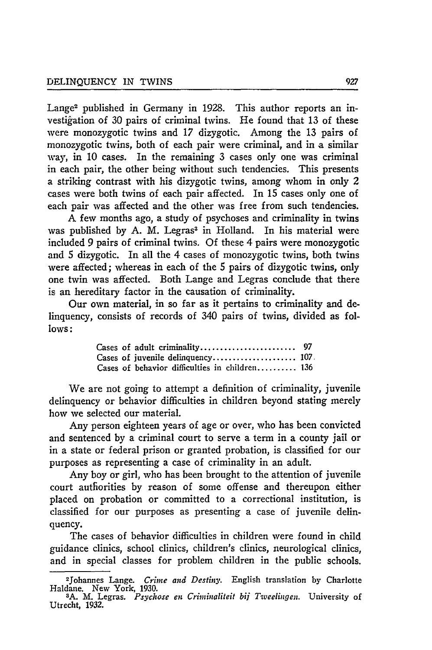Lange<sup>2</sup> published in Germany in 1928. This author reports an investigation of 30 pairs of criminal twins. He found that 13 of these were monozygotic twins and **17** dizygotic. Among the **13** pairs of monozygotic twins, both of each pair were criminal, and in a similar way, in 10 cases. In the remaining 3 cases only one was criminal in each pair, the other being without such tendencies. This presents a striking contrast with his dizygotic twins, among whom in only 2 cases were both twins of each pair affected. In **15** cases only one of each pair was affected and the other was free from such tendencies.

A few months ago, a study of psychoses and criminality in twins was published by A. M. Legras<sup>3</sup> in Holland. In his material were included 9 pairs of criminal twins. **Of** these 4 pairs were monozygotic and **5** dizygotic. In all the 4 cases of monozygotic twins, both twins were affected; whereas in each of the 5 pairs of dizygotic twins, only one twin was affected. Both Lange and Legras conclude that there is an hereditary factor in the causation of criminality.

Our own material, in so far as it pertains to criminality and delinquency, consists of records of 340 pairs of twins, divided as follows:

|  | Cases of behavior difficulties in children 136 |  |
|--|------------------------------------------------|--|

We are not going to attempt a definition of criminality, juvenile delinquency or behavior difficulties in children beyond stating merely how we selected our material.

Any person eighteen years of age or over, who has been convicted and sentenced by a criminal court to serve a term in a county jail or in a state or federal prison or granted probation, is classified for our purposes as representing a case of criminality in an adult.

Any boy or girl, who has been brought to the attention of juvenile court autfiorities by reason of some offense and thereupon either placed on probation or committed to a correctional institution, is classified for our purposes as presenting a case of juvenile delinquency.

The cases of behavior difficulties in children were found in child guidance clinics, school clinics, children's clinics, neurological clinics, and in special classes for problem children in the public schools.

<sup>2</sup> Johannes Lange. *Crime and Destiny.* English translation by Charlotte Haldane. New York, 1930. **3A.** M. Legras. *Psychose en Criminaliteit bij Tweelingen.* University of

Utrecht, **1932.**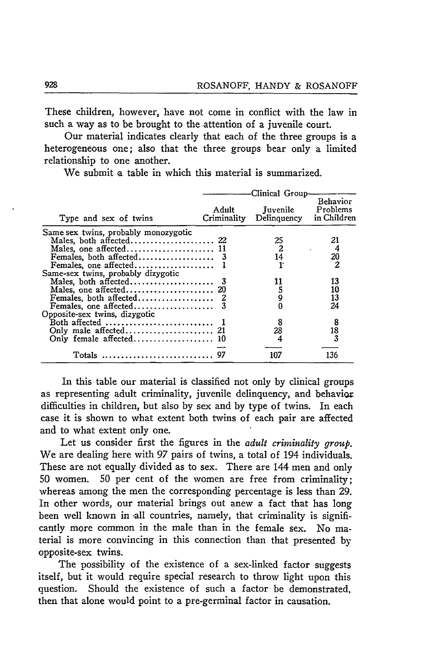These children, however, have not come in conflict with the law in such a way as to be brought to the attention of a juvenile court.

Our material indicates clearly that each of the three groups is a heterogeneous one; also that the three groups bear only a limited relationship to one another.

We submit a table in which this material is summarized.

| Type and sex of twins                                             | Adult | Juvenile<br>Criminality Delinquency in Children | <b>Behavior</b><br>Problems |  |
|-------------------------------------------------------------------|-------|-------------------------------------------------|-----------------------------|--|
| Same sex twins, probably monozygotic                              |       |                                                 |                             |  |
| Males, both affected 22                                           |       | 25                                              | 21                          |  |
| Males, one affected 11                                            |       |                                                 | 4                           |  |
|                                                                   |       | 14                                              | 20                          |  |
|                                                                   |       |                                                 | $\overline{2}$              |  |
| Same-sex twins, probably dizygotic                                |       |                                                 |                             |  |
| Males, both affected                                              |       | 11                                              | 13                          |  |
|                                                                   |       |                                                 | 10                          |  |
|                                                                   |       | $\frac{5}{9}$                                   | 13                          |  |
|                                                                   |       | O                                               | 24                          |  |
| Opposite-sex twins, dizygotic                                     |       |                                                 |                             |  |
| Both affected $\ldots, \ldots, \ldots, \ldots, \ldots, \ldots, 1$ |       | 8                                               | 8                           |  |
| Only male affected 21                                             |       | 28                                              |                             |  |
| Only female affected 10                                           |       | 4                                               | $\frac{18}{3}$              |  |
|                                                                   |       |                                                 |                             |  |
|                                                                   |       | 107                                             | 136                         |  |

In this table our material is classified not only by clinical groups as representing adult criminality, juvenile delinquency, and behavior difficulties in children, but also by sex and by type of twins. In each case it is shown to what extent both twins of each pair are affected and to what extent only one.

Let us consider first the figures in the *adult criminality group.* We are dealing here with 97 pairs of twins, a total of 194 individuals. These are not equally divided as to sex. There are 144 men and only 50 women. 50 per cent of the women are free from criminality; whereas among the men the corresponding percentage is less than 29. In other words, our material brings out anew a fact that has long been well known in all countries, namely, that criminality is significantly more common in the male than in the female sex. No material is more convincing in this connection than that presented by opposite-sex twins.

The possibility of the existence of a sex-linked factor suggests itself, but it would require special research to throw light upon this question. Should the existence of such a factor be demonstrated, then that alone would point to a pre-germinal factor in causation.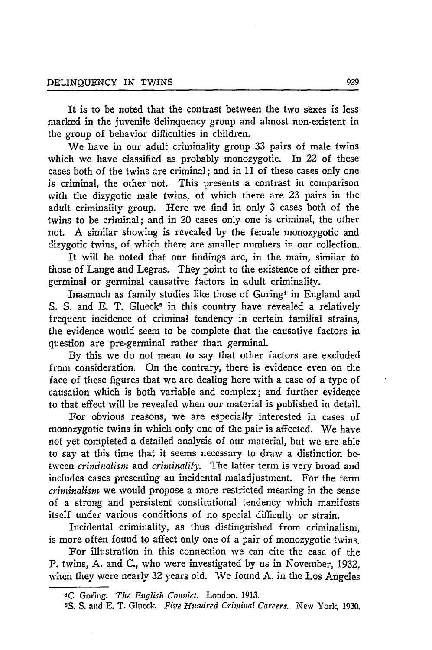It is to be noted that the contrast between the two sexes is less marked in the juvenile 'delinquency group and almost non-existent in the group of behavior difficulties in children.

We have in our adult criminality group 33 pairs of male twins which we have classified as probably monozygotic. In 22 of these cases both of the twins are criminal; and in 11 of these cases only one is criminal, the other not. This presents a contrast in comparison with the dizygotic male twins, of which there are 23 pairs in the adult criminality group. Here we find in only **3** cases both of the twins to be criminal; and in 20 cases only one is criminal, the other not. A similar showing is revealed by the female monozygotic and dizygotic twins, of which there are smaller numbers in our collection.

It will be noted that our findings are, in the main, similar to those of Lange and Legras. They point to the existence of either pregerminal or germinal causative factors in adult criminality.

Inasmuch as family studies like those of Goring' in England and S. S. and E. T. Glueck<sup>5</sup> in this country have revealed a relatively frequent incidence of criminal tendency in certain familial strains, the evidence would seem to be complete that the causative factors in question are pre-germinal rather than germinal.

By this we do not mean to say that other factors are excluded from consideration. On the contrary, there is evidence even on the face of these figures that we are dealing here with a case of a type of causation which is both variable and complex; and further evidence to that effect will be revealed when our material is published in detail.

For obvious reasons, we are especially interested in cases of monozygotic twins in which only one of the pair is affected. We have not yet completed a detailed analysis of our material, but we are able to say at this time that it seems necessary to draw a distinction between *criminalism* and *criminality.* The latter term is very broad and includes cases presenting an incidental maladjustment. For the term *crimninalisin* we would propose a more restricted meaning in the sense of a strong and persistent constitutional tendency which manifests itself under various conditions of no special difficulty or strain.

Incidental criminality, as thus distinguished from criminalism, is more often found to affect only one of a pair of monozygotic twins.

For illustration in this connection we can cite the case of the P. twins, **A.** and **C.,** who were investigated **by** us in November, **1932,** when they were nearly **32** years old. We found **A.** in the Los Angeles

<sup>4</sup>C. Goring. *The English Convict.* London. 1913.

**<sup>5</sup>S.** S. and **E.** T. Glueck. *Five Hundred Criminal Careers.* New York, 1930.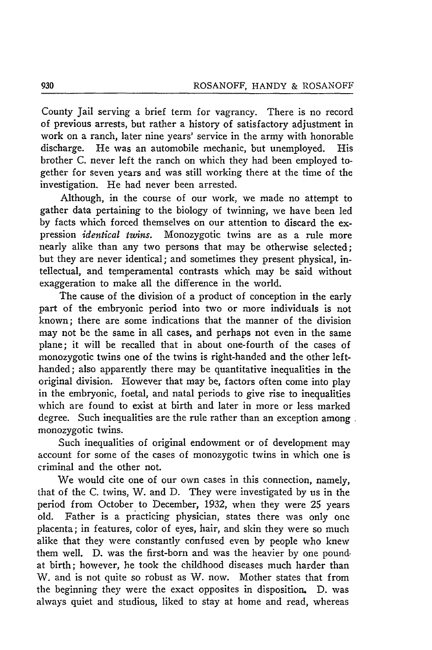County Jail serving a brief term for vagrancy. There is no record of previous arrests, but rather a history of satisfactory adjustment in work on a ranch, later nine years' service in the army with honorable discharge. He was an automobile mechanic, but unemployed. His brother C. never left the ranch on which they had been employed together for seven years and was still working there at the time of the investigation. He had never been arrested.

Although, in the course of our work, we made no attempt to gather data pertaining to the biology of twinning, we have been led by facts which forced themselves on our attention to discard the expression *identical twins.* Monozygotic twins are as a rule more nearly alike than any two persons that may be otherwise selected; but they are never identical; and sometimes they present physical, intellectual, and temperamental contrasts which may be said without exaggeration to make all the difference in the world.

The cause of the division of a product of conception in the early part of the embryonic period into two or more individuals is not known; there are some indications that the manner of the division may not be the same in all cases, and perhaps not even in the same plane; it will be recalled that in about one-fourth of the cases of monozygotic twins one of the twins is right-handed and the other lefthanded; also apparently there may be quantitative inequalities in the original division. However that may be, factors often come into play in the embryonic, foetal, and natal periods to give rise to inequalities which are found to exist at birth and later in more or less marked degree. Such inequalities are the rule rather than an exception among. monozygotic twins.

Such inequalities of original endowment or of development may account for some of the cases of monozygotic twins in which one is criminal and the other not.

We would cite one of our own cases in this connection, namely, that of the C. twins, W. and D. They were investigated by us in the period from October to December, 1932, when they were 25 years old. Father is a practicing physician, states there was only one placenta; in features, color of eyes, hair, and skin they were so much alike that they were constantly confused even by people who knew them well. D. was the first-born and was the heavier by one pound. at birth; however, he took the childhood diseases much harder than W. and is not quite so robust as W. now. Mother states that from the beginning they were the exact opposites in disposition. D. was always quiet and studious, liked to stay at home and read, whereas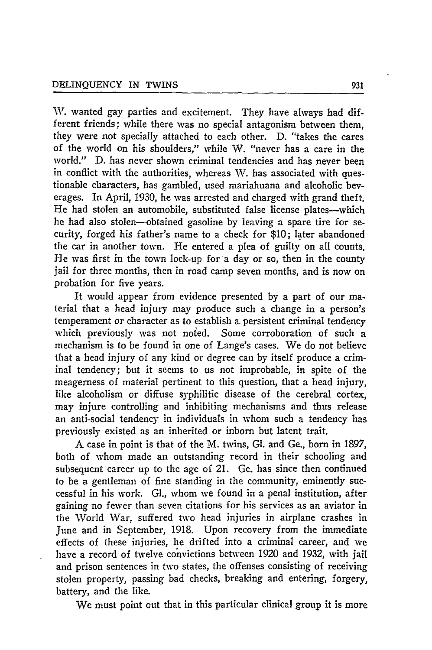W. wanted gay parties and excitement. They have always had different friends; while there was no special antagonism between them, they were not specially attached to each other. D. "takes the cares of the world on his shoulders," while W. "never has a care in the world." D. has never shown criminal tendencies and has never been in conflict with the authorities, whereas *IV.* has associated with questionable characters, has gambled, used mariahuana and alcoholic beverages. In April, 1930, he was arrested and charged with grand theft. He had stolen an automobile, substituted false license plates-which he had also stolen-obtained gasoline by leaving a spare tire for security, forged his father's name to a check for \$10; later abandoned the car in another town. He entered a plea of guilty on all counts. He was first in the town lock-up for a day or so, then in the county jail for three months, then in road camp seven months, and is now on probation for five years.

It would appear from evidence presented by a part of our material that a head injury may produce such a change in a person's temperament or character as to establish a persistent criminal tendency which previously was not noted. Some corroboration of such a mechanism is to be found in one of Lange's cases. We do not believe that a head injury of any kind or degree can by itself produce a criminal tendency; but it seems to us not improbable, in spite of the meagerness of material pertinent to this question, that a head injury, like alcoholism or diffuse syphilitic disease of the cerebral cortex, may injure controlling and inhibiting mechanisms and thus release an anti-social tendency in individuals in whom such a tendency has previously existed as an inherited or inborn but latent trait.

A case in point is that of the M. twins, **G1.** and Ge., born in 1897, both of whom made an outstanding record in their schooling and subsequent career up to the age of 21. Ge. has since then continued to be a gentleman of fine standing in the community, eminently successful in his work. GI., whom we found in a penal institution, after gaining no fewer than seven citations for his services as an aviator in the World War, suffered two head injuries in airplane crashes in June and in September, 1918. Upon recovery from the immediate effects of these injuries, he drifted into a criminal career, and we have a record of twelve convictions between 1920 and 1932, with jail and prison sentences in two states, the offenses consisting of receiving stolen property, passing bad checks, breaking and entering, forgery, battery, and the like.

We must point out that in this particular clinical group it is more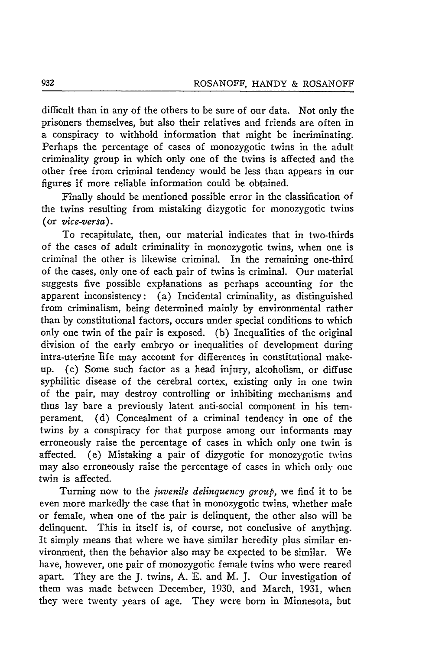difficult than in any of the others to be sure of our data. Not only the prisoners themselves, but also their relatives and friends are often in a conspiracy to withhold information that might be incriminating. Perhaps the percentage of cases of monozygotic twins in the adult criminality group in which only one of the twins is affected and the other free from criminal tendency would be less than appears in our figures if more reliable information could be obtained.

Finally should be mentioned possible error in the classification of the twins resulting from mistaking dizygotic for monozygotic twins (or *vice-versa).*

To recapitulate, then, our material indicates that in two-thirds of the cases of adult criminality in monozygotic twins, when one is criminal the other is likewise criminal. In the remaining one-third of the cases, only one of each pair of twins is criminal. Our material suggests five possible explanations as perhaps accounting for the apparent inconsistency: (a) Incidental criminality, as distinguished from criminalism, being determined mainly by environmental rather than by constitutional factors, occurs under special conditions to which only one twin of the pair is exposed. (b) Inequalities of the original division of the early embryo or inequalities of development during intra-uterine life may account for differences in constitutional makeup. (c) Some such factor as a head injury, alcoholism, or diffuse syphilitic disease of the cerebral cortex, existing only in one twin of the pair, may destroy controlling or inhibiting mechanisms and thus lay bare a previously latent anti-social component in his temperament. (d) Concealment of a criminal tendency in one of the twins by a conspiracy for that purpose among our informants may erroneously raise the percentage of cases in which only one twin is affected. (e) Mistaking a pair of dizygotic for monozygotic twins may also erroneously raise the percentage of cases in which only one twin is affected.

Turning now to the *juvenile delinquency group,* we find it to be even more markedly the case that in monozygotic twins, whether male or female, when one of the pair is delinquent, the other also will be delinquent. This in itself is, of course, not conclusive of anything. It simply means that where we have similar heredity plus similar environment, then the behavior also may be expected to be similar. We have, however, one pair of monozygotic female twins who were reared apart. They are the J. twins, A. E. and M. J. Our investigation of them was made between December, 1930, and March, 1931, when they were twenty years of age. They were born in Minnesota, but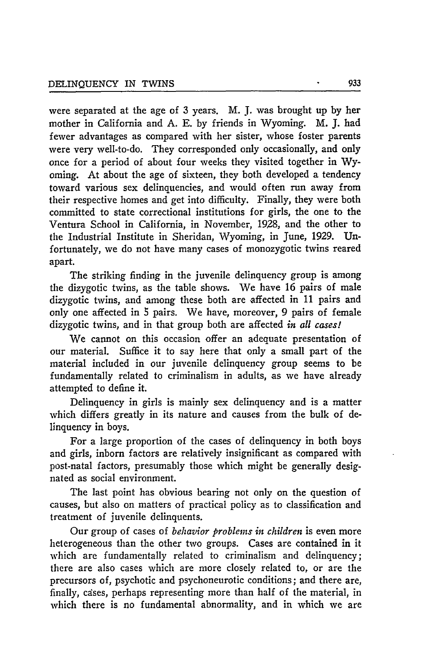were separated at the age of 3 years. M. J. was brought up by her mother in California and A. E. by friends in Wyoming. M. J. had fewer advantages as compared with her sister, whose foster parents were very well-to-do. They corresponded only occasionally, and only once for a period of about four weeks they visited together in Wyoming. At about the age of sixteen, they both developed a tendency toward various sex delinquencies, and would often run away from their respective homes and get into difficulty. Finally, they were both committed to state correctional institutions for girls, the one to the Ventura School in California, in November, 1928, and the other to the Industrial Institute in Sheridan, Wyoming, in June, 1929. Unfortunately, we do not have many cases of monozygotic twins reared apart.

The striking finding in the juvenile delinquency group is among the dizygotic twins, as the table shows. We have **16** pairs of male dizygotic twins, and among these both are affected in **11** pairs and only one affected in **5** pairs. We have, moreover, 9 pairs of female dizygotic twins, and in that group both are affected *in all cases!*

We cannot on this occasion offer an adequate presentation of our material. Suffice it to say here that only a small part of the material included in our juvenile delinquency group seems to be fundamentally related to criminalism in adults, as we have already attempted to define it.

Delinquency in girls is mainly sex delinquency and is a matter which differs greatly in its nature and causes from the bulk of delinquency in boys.

For a large proportion of the cases of delinquency in both boys and girls, inborn factors are relatively insignificant as compared with post-natal factors, presumably those which might be generally designated as social environment.

The last point has obvious bearing not only on the question of causes, but also on matters of practical policy as to classification and treatment of juvenile delinquents.

Our group of cases of *behavior problems in children* is even more heterogeneous than the other two groups. Cases are contained in it which are fundamentally related to criminalism and delinquency; there are also cases which are more closely related to, or are the precursors of, psychotic and psychoneurotic conditions; and there are, finally, cases, perhaps representing more than half of the material, in which there is no fundamental abnormality, and in which we are